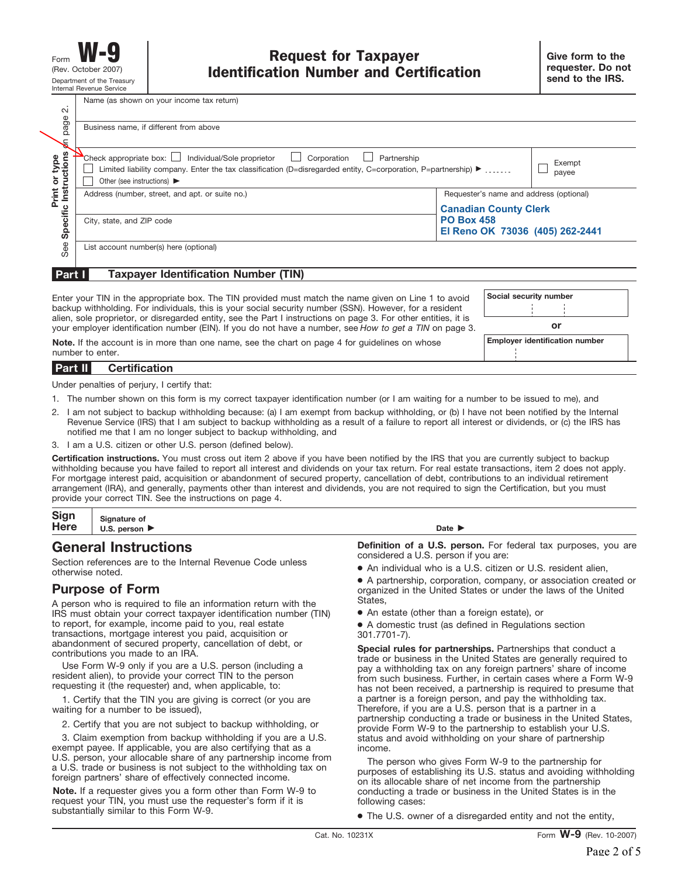Name (as shown on your income tax return)

| $\sim$<br>page<br>€                  | Business name, if different from above                                                                                                                                                                                                                         |                                                                                      |                 |
|--------------------------------------|----------------------------------------------------------------------------------------------------------------------------------------------------------------------------------------------------------------------------------------------------------------|--------------------------------------------------------------------------------------|-----------------|
| <b>Print or type</b><br>Instructions | Check appropriate box:     Individual/Sole proprietor<br>$\Box$ Corporation<br>Partnership<br>Limited liability company. Enter the tax classification (D=disregarded entity, C=corporation, P=partnership) ▶<br>Other (see instructions) $\blacktriangleright$ |                                                                                      | Exempt<br>payee |
| Print                                | Address (number, street, and apt. or suite no.)                                                                                                                                                                                                                | Requester's name and address (optional)                                              |                 |
| Specific                             | City, state, and ZIP code                                                                                                                                                                                                                                      | <b>Canadian County Clerk</b><br><b>PO Box 458</b><br>El Reno OK 73036 (405) 262-2441 |                 |
| See                                  | List account number(s) here (optional)                                                                                                                                                                                                                         |                                                                                      |                 |

#### **Taxpayer Identification Number (TIN) Part I**

Enter your TIN in the appropriate box. The TIN provided must match the name given on Line 1 to avoid backup withholding. For individuals, this is your social security number (SSN). However, for a resident alien, sole proprietor, or disregarded entity, see the Part I instructions on page 3. For other entities, it is your employer identification number (EIN). If you do not have a number, see *How to get a TIN* on page 3.

**Social security number or**

**Note.** If the account is in more than one name, see the chart on page 4 for guidelines on whose **Employer identification number** number to enter.

#### **Certification Part II**

Under penalties of perjury, I certify that:

- 1. The number shown on this form is my correct taxpayer identification number (or I am waiting for a number to be issued to me), and
- 2. I am not subject to backup withholding because: (a) I am exempt from backup withholding, or (b) I have not been notified by the Internal Revenue Service (IRS) that I am subject to backup withholding as a result of a failure to report all interest or dividends, or (c) the IRS has notified me that I am no longer subject to backup withholding, and
- 3. I am a U.S. citizen or other U.S. person (defined below).

**Certification instructions.** You must cross out item 2 above if you have been notified by the IRS that you are currently subject to backup withholding because you have failed to report all interest and dividends on your tax return. For real estate transactions, item 2 does not apply. For mortgage interest paid, acquisition or abandonment of secured property, cancellation of debt, contributions to an individual retirement arrangement (IRA), and generally, payments other than interest and dividends, you are not required to sign the Certification, but you must provide your correct TIN. See the instructions on page 4.

| Sign<br>Here  | <b>Signature of</b><br>U.S.<br>person ▶ | Date I |
|---------------|-----------------------------------------|--------|
|               |                                         |        |
| $\rightarrow$ |                                         | .      |

# **General Instructions**

Section references are to the Internal Revenue Code unless otherwise noted.

# **Purpose of Form**

A person who is required to file an information return with the IRS must obtain your correct taxpayer identification number (TIN) to report, for example, income paid to you, real estate transactions, mortgage interest you paid, acquisition or abandonment of secured property, cancellation of debt, or contributions you made to an IRA.

Use Form W-9 only if you are a U.S. person (including a resident alien), to provide your correct TIN to the person requesting it (the requester) and, when applicable, to:

1. Certify that the TIN you are giving is correct (or you are waiting for a number to be issued),

2. Certify that you are not subject to backup withholding, or

3. Claim exemption from backup withholding if you are a U.S. exempt payee. If applicable, you are also certifying that as a U.S. person, your allocable share of any partnership income from a U.S. trade or business is not subject to the withholding tax on foreign partners' share of effectively connected income.

**Note.** If a requester gives you a form other than Form W-9 to request your TIN, you must use the requester's form if it is substantially similar to this Form W-9.

**Definition of a U.S. person.** For federal tax purposes, you are considered a U.S. person if you are:

● An individual who is a U.S. citizen or U.S. resident alien,

● A partnership, corporation, company, or association created or organized in the United States or under the laws of the United States,

● An estate (other than a foreign estate), or

● A domestic trust (as defined in Regulations section 301.7701-7).

**Special rules for partnerships.** Partnerships that conduct a trade or business in the United States are generally required to pay a withholding tax on any foreign partners' share of income from such business. Further, in certain cases where a Form W-9 has not been received, a partnership is required to presume that a partner is a foreign person, and pay the withholding tax. Therefore, if you are a U.S. person that is a partner in a partnership conducting a trade or business in the United States, provide Form W-9 to the partnership to establish your U.S. status and avoid withholding on your share of partnership income.

The person who gives Form W-9 to the partnership for purposes of establishing its U.S. status and avoiding withholding on its allocable share of net income from the partnership conducting a trade or business in the United States is in the following cases:

● The U.S. owner of a disregarded entity and not the entity,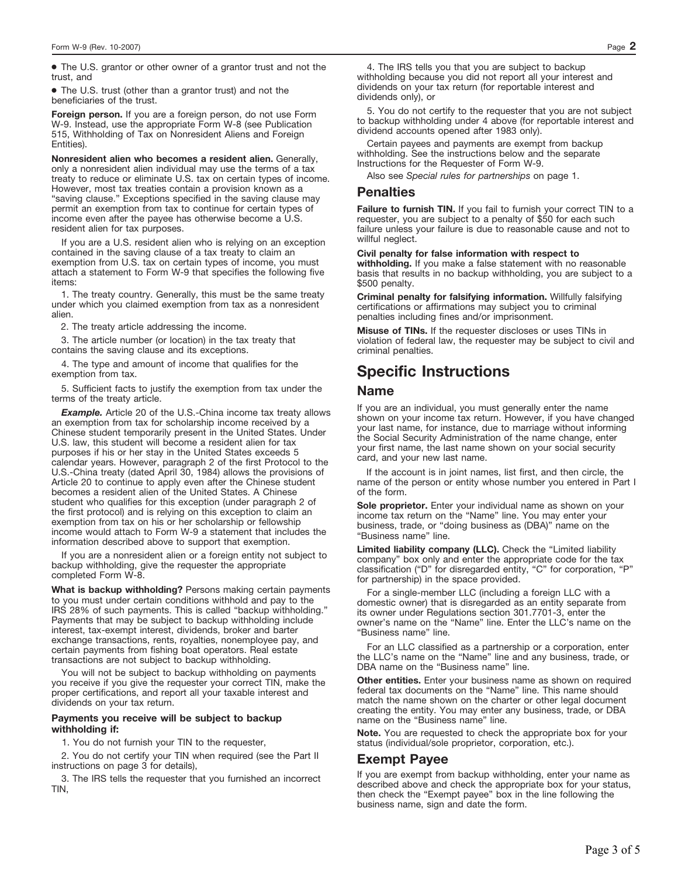● The U.S. grantor or other owner of a grantor trust and not the trust, and

● The U.S. trust (other than a grantor trust) and not the beneficiaries of the trust.

**Foreign person.** If you are a foreign person, do not use Form W-9. Instead, use the appropriate Form W-8 (see Publication 515, Withholding of Tax on Nonresident Aliens and Foreign Entities).

**Nonresident alien who becomes a resident alien.** Generally, only a nonresident alien individual may use the terms of a tax treaty to reduce or eliminate U.S. tax on certain types of income. However, most tax treaties contain a provision known as a "saving clause." Exceptions specified in the saving clause may permit an exemption from tax to continue for certain types of income even after the payee has otherwise become a U.S. resident alien for tax purposes.

If you are a U.S. resident alien who is relying on an exception contained in the saving clause of a tax treaty to claim an exemption from U.S. tax on certain types of income, you must attach a statement to Form W-9 that specifies the following five items:

1. The treaty country. Generally, this must be the same treaty under which you claimed exemption from tax as a nonresident alien.

2. The treaty article addressing the income.

3. The article number (or location) in the tax treaty that contains the saving clause and its exceptions.

4. The type and amount of income that qualifies for the exemption from tax.

5. Sufficient facts to justify the exemption from tax under the terms of the treaty article.

*Example.* Article 20 of the U.S.-China income tax treaty allows an exemption from tax for scholarship income received by a Chinese student temporarily present in the United States. Under U.S. law, this student will become a resident alien for tax purposes if his or her stay in the United States exceeds 5 calendar years. However, paragraph 2 of the first Protocol to the U.S.-China treaty (dated April 30, 1984) allows the provisions of Article 20 to continue to apply even after the Chinese student becomes a resident alien of the United States. A Chinese student who qualifies for this exception (under paragraph 2 of the first protocol) and is relying on this exception to claim an exemption from tax on his or her scholarship or fellowship income would attach to Form W-9 a statement that includes the information described above to support that exemption.

If you are a nonresident alien or a foreign entity not subject to backup withholding, give the requester the appropriate completed Form W-8.

**What is backup withholding?** Persons making certain payments to you must under certain conditions withhold and pay to the IRS 28% of such payments. This is called "backup withholding." Payments that may be subject to backup withholding include interest, tax-exempt interest, dividends, broker and barter exchange transactions, rents, royalties, nonemployee pay, and certain payments from fishing boat operators. Real estate transactions are not subject to backup withholding.

You will not be subject to backup withholding on payments you receive if you give the requester your correct TIN, make the proper certifications, and report all your taxable interest and dividends on your tax return.

#### **Payments you receive will be subject to backup withholding if:**

1. You do not furnish your TIN to the requester,

2. You do not certify your TIN when required (see the Part II instructions on page 3 for details),

3. The IRS tells the requester that you furnished an incorrect TIN,

4. The IRS tells you that you are subject to backup withholding because you did not report all your interest and dividends on your tax return (for reportable interest and dividends only), or

5. You do not certify to the requester that you are not subject to backup withholding under 4 above (for reportable interest and dividend accounts opened after 1983 only).

Certain payees and payments are exempt from backup withholding. See the instructions below and the separate Instructions for the Requester of Form W-9.

Also see *Special rules for partnerships* on page 1.

## **Penalties**

**Failure to furnish TIN.** If you fail to furnish your correct TIN to a requester, you are subject to a penalty of \$50 for each such failure unless your failure is due to reasonable cause and not to willful neglect.

#### **Civil penalty for false information with respect to**

**withholding.** If you make a false statement with no reasonable basis that results in no backup withholding, you are subject to a \$500 penalty.

**Criminal penalty for falsifying information.** Willfully falsifying certifications or affirmations may subject you to criminal penalties including fines and/or imprisonment.

**Misuse of TINs.** If the requester discloses or uses TINs in violation of federal law, the requester may be subject to civil and criminal penalties.

# **Specific Instructions**

### **Name**

If you are an individual, you must generally enter the name shown on your income tax return. However, if you have changed your last name, for instance, due to marriage without informing the Social Security Administration of the name change, enter your first name, the last name shown on your social security card, and your new last name.

If the account is in joint names, list first, and then circle, the name of the person or entity whose number you entered in Part I of the form.

**Sole proprietor.** Enter your individual name as shown on your income tax return on the "Name" line. You may enter your business, trade, or "doing business as (DBA)" name on the "Business name" line.

**Limited liability company (LLC).** Check the "Limited liability company" box only and enter the appropriate code for the tax classification ("D" for disregarded entity, "C" for corporation, "P" for partnership) in the space provided.

For a single-member LLC (including a foreign LLC with a domestic owner) that is disregarded as an entity separate from its owner under Regulations section 301.7701-3, enter the owner's name on the "Name" line. Enter the LLC's name on the "Business name" line.

For an LLC classified as a partnership or a corporation, enter the LLC's name on the "Name" line and any business, trade, or DBA name on the "Business name" line.

**Other entities.** Enter your business name as shown on required federal tax documents on the "Name" line. This name should match the name shown on the charter or other legal document creating the entity. You may enter any business, trade, or DBA name on the "Business name" line.

**Note.** You are requested to check the appropriate box for your status (individual/sole proprietor, corporation, etc.).

### **Exempt Payee**

If you are exempt from backup withholding, enter your name as described above and check the appropriate box for your status, then check the "Exempt payee" box in the line following the business name, sign and date the form.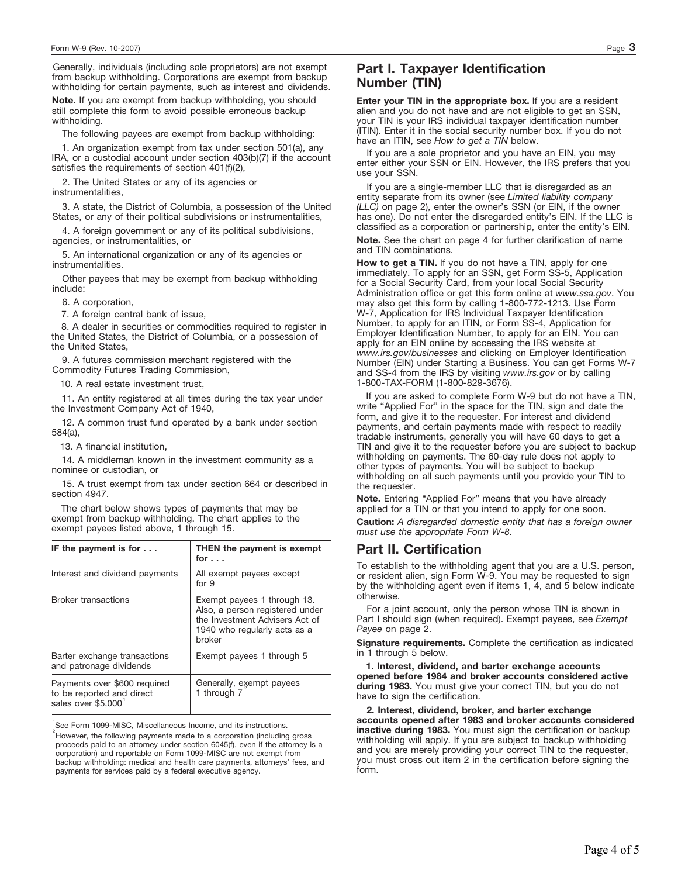Generally, individuals (including sole proprietors) are not exempt from backup withholding. Corporations are exempt from backup withholding for certain payments, such as interest and dividends.

**Note.** If you are exempt from backup withholding, you should still complete this form to avoid possible erroneous backup withholding.

The following payees are exempt from backup withholding:

1. An organization exempt from tax under section 501(a), any IRA, or a custodial account under section 403(b)(7) if the account satisfies the requirements of section  $401(f)(2)$ 

2. The United States or any of its agencies or instrumentalities,

3. A state, the District of Columbia, a possession of the United States, or any of their political subdivisions or instrumentalities,

4. A foreign government or any of its political subdivisions, agencies, or instrumentalities, or

5. An international organization or any of its agencies or instrumentalities.

Other payees that may be exempt from backup withholding include:

6. A corporation,

7. A foreign central bank of issue,

8. A dealer in securities or commodities required to register in the United States, the District of Columbia, or a possession of the United States,

9. A futures commission merchant registered with the Commodity Futures Trading Commission,

10. A real estate investment trust,

11. An entity registered at all times during the tax year under the Investment Company Act of 1940,

12. A common trust fund operated by a bank under section 584(a),

13. A financial institution,

14. A middleman known in the investment community as a nominee or custodian, or

15. A trust exempt from tax under section 664 or described in section 4947.

The chart below shows types of payments that may be exempt from backup withholding. The chart applies to the exempt payees listed above, 1 through 15.

| IF the payment is for $\dots$                                                   | THEN the payment is exempt<br>for                                                                                                          |
|---------------------------------------------------------------------------------|--------------------------------------------------------------------------------------------------------------------------------------------|
| Interest and dividend payments                                                  | All exempt payees except<br>for 9                                                                                                          |
| <b>Broker transactions</b>                                                      | Exempt payees 1 through 13.<br>Also, a person registered under<br>the Investment Advisers Act of<br>1940 who regularly acts as a<br>broker |
| Barter exchange transactions<br>and patronage dividends                         | Exempt payees 1 through 5                                                                                                                  |
| Payments over \$600 required<br>to be reported and direct<br>sales over \$5,000 | Generally, exempt payees<br>1 through 7                                                                                                    |

<sup>1</sup>See Form 1099-MISC, Miscellaneous Income, and its instructions.

 $\degree$ However, the following payments made to a corporation (including gross proceeds paid to an attorney under section 6045(f), even if the attorney is a corporation) and reportable on Form 1099-MISC are not exempt from backup withholding: medical and health care payments, attorneys' fees, and payments for services paid by a federal executive agency.

## **Part I. Taxpayer Identification Number (TIN)**

**Enter your TIN in the appropriate box.** If you are a resident alien and you do not have and are not eligible to get an SSN, your TIN is your IRS individual taxpayer identification number (ITIN). Enter it in the social security number box. If you do not have an ITIN, see *How to get a TIN* below.

If you are a sole proprietor and you have an EIN, you may enter either your SSN or EIN. However, the IRS prefers that you use your SSN.

If you are a single-member LLC that is disregarded as an entity separate from its owner (see *Limited liability company (LLC)* on page 2), enter the owner's SSN (or EIN, if the owner has one). Do not enter the disregarded entity's EIN. If the LLC is classified as a corporation or partnership, enter the entity's EIN. **Note.** See the chart on page 4 for further clarification of name

**How to get a TIN.** If you do not have a TIN, apply for one and TIN combinations.

immediately. To apply for an SSN, get Form SS-5, Application for a Social Security Card, from your local Social Security Administration office or get this form online at *www.ssa.gov*. You may also get this form by calling 1-800-772-1213. Use Form W-7, Application for IRS Individual Taxpayer Identification Number, to apply for an ITIN, or Form SS-4, Application for Employer Identification Number, to apply for an EIN. You can apply for an EIN online by accessing the IRS website at *www.irs.gov/businesses* and clicking on Employer Identification Number (EIN) under Starting a Business. You can get Forms W-7 and SS-4 from the IRS by visiting *www.irs.gov* or by calling 1-800-TAX-FORM (1-800-829-3676).

If you are asked to complete Form W-9 but do not have a TIN, write "Applied For" in the space for the TIN, sign and date the form, and give it to the requester. For interest and dividend payments, and certain payments made with respect to readily tradable instruments, generally you will have 60 days to get a TIN and give it to the requester before you are subject to backup withholding on payments. The 60-day rule does not apply to other types of payments. You will be subject to backup withholding on all such payments until you provide your TIN to the requester.

**Note.** Entering "Applied For" means that you have already applied for a TIN or that you intend to apply for one soon. **Caution:** *A disregarded domestic entity that has a foreign owner must use the appropriate Form W-8.*

### **Part II. Certification**

To establish to the withholding agent that you are a U.S. person, or resident alien, sign Form W-9. You may be requested to sign by the withholding agent even if items 1, 4, and 5 below indicate otherwise.

For a joint account, only the person whose TIN is shown in Part I should sign (when required). Exempt payees, see *Exempt Payee* on page 2.

**Signature requirements.** Complete the certification as indicated in 1 through 5 below.

**1. Interest, dividend, and barter exchange accounts opened before 1984 and broker accounts considered active during 1983.** You must give your correct TIN, but you do not have to sign the certification.

**2. Interest, dividend, broker, and barter exchange accounts opened after 1983 and broker accounts considered inactive during 1983.** You must sign the certification or backup withholding will apply. If you are subject to backup withholding and you are merely providing your correct TIN to the requester, you must cross out item 2 in the certification before signing the form.